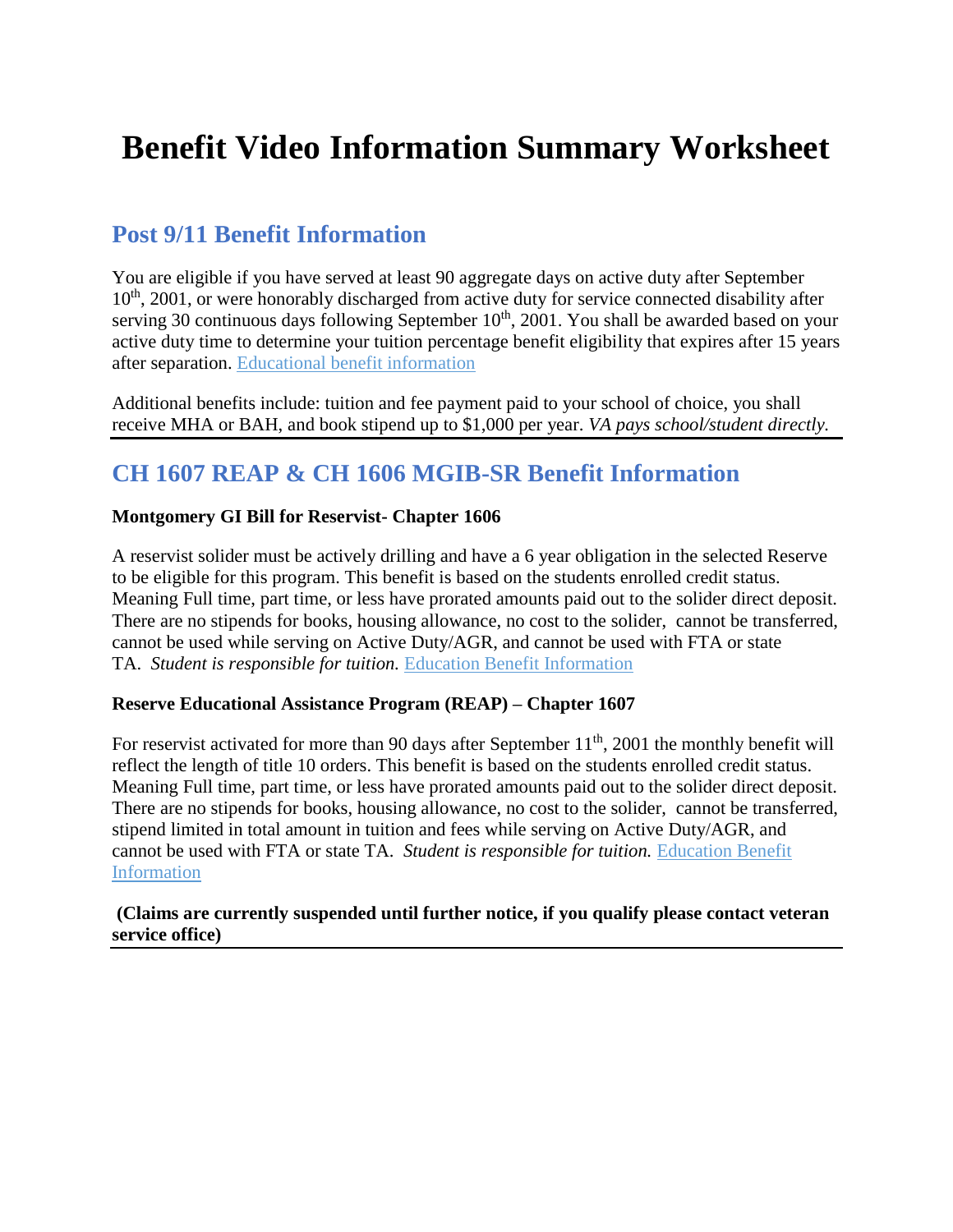# **Benefit Video Information Summary Worksheet**

### **Post 9/11 Benefit Information**

You are eligible if you have served at least 90 aggregate days on active duty after September  $10<sup>th</sup>$ , 2001, or were honorably discharged from active duty for service connected disability after serving 30 continuous days following September  $10<sup>th</sup>$ , 2001. You shall be awarded based on your active duty time to determine your tuition percentage benefit eligibility that expires after 15 years after separation. [Educational benefit information](http://www.tri-c.edu/veterans/documents/ch33-pamphlet.pdf)

Additional benefits include: tuition and fee payment paid to your school of choice, you shall receive MHA or BAH, and book stipend up to \$1,000 per year. *VA pays school/student directly.*

## **CH 1607 REAP & CH 1606 MGIB-SR Benefit Information**

#### **Montgomery GI Bill for Reservist- Chapter 1606**

A reservist solider must be actively drilling and have a 6 year obligation in the selected Reserve to be eligible for this program. This benefit is based on the students enrolled credit status. Meaning Full time, part time, or less have prorated amounts paid out to the solider direct deposit. There are no stipends for books, housing allowance, no cost to the solider, cannot be transferred, cannot be used while serving on Active Duty/AGR, and cannot be used with FTA or state TA. *Student is responsible for tuition.* [Education Benefit Information](http://www.tri-c.edu/veterans/documents/ch1606-pamphlet.pdf)

#### **Reserve Educational Assistance Program (REAP) – Chapter 1607**

For reservist activated for more than 90 days after September  $11<sup>th</sup>$ , 2001 the monthly benefit will reflect the length of title 10 orders. This benefit is based on the students enrolled credit status. Meaning Full time, part time, or less have prorated amounts paid out to the solider direct deposit. There are no stipends for books, housing allowance, no cost to the solider, cannot be transferred, stipend limited in total amount in tuition and fees while serving on Active Duty/AGR, and cannot be used with FTA or state TA. *Student is responsible for tuition.* [Education Benefit](http://www.tri-c.edu/veterans/documents/ch1607-pamphlet.pdf)  [Information](http://www.tri-c.edu/veterans/documents/ch1607-pamphlet.pdf)

#### **(Claims are currently suspended until further notice, if you qualify please contact veteran service office)**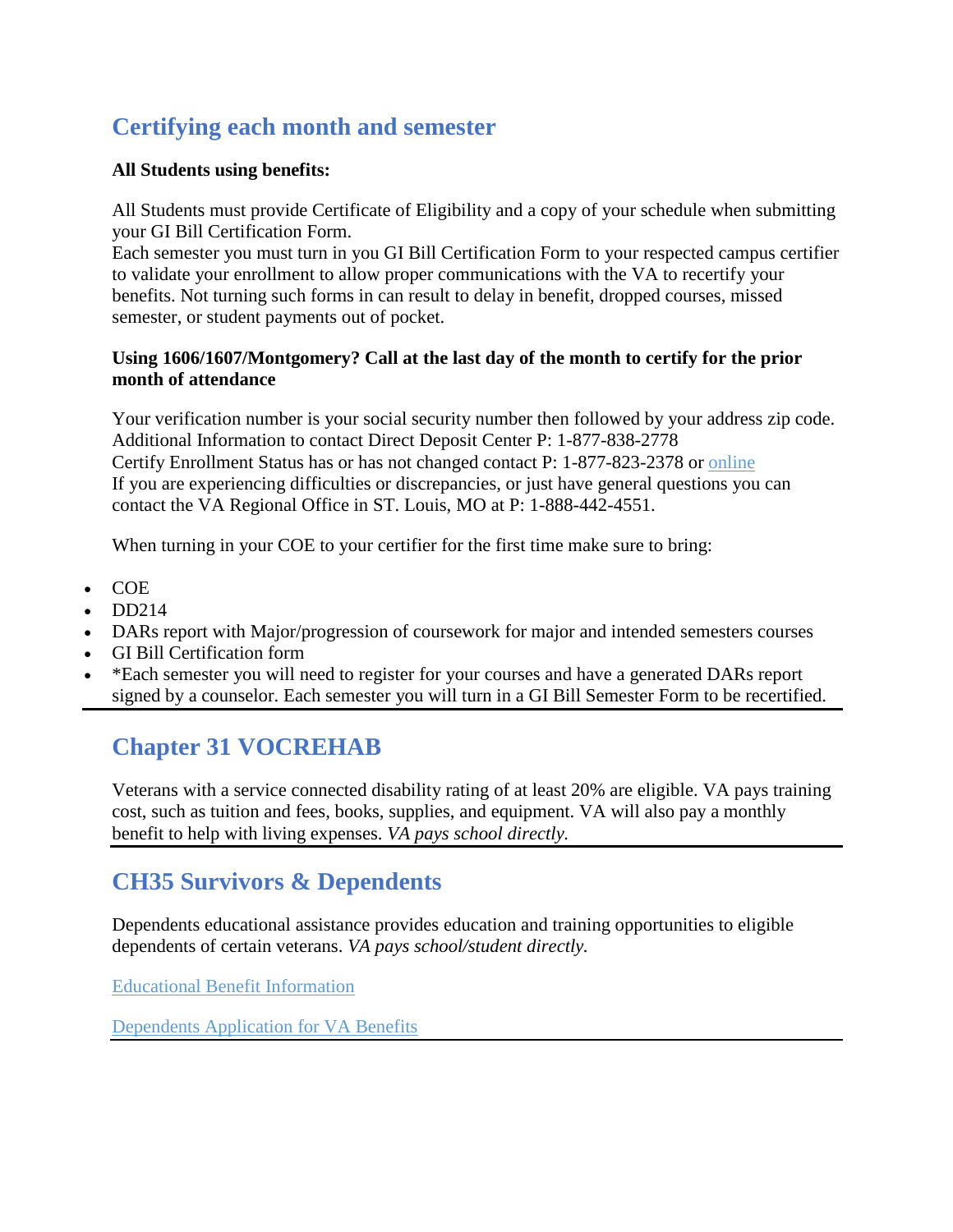# **Certifying each month and semester**

#### **All Students using benefits:**

All Students must provide Certificate of Eligibility and a copy of your schedule when submitting your GI Bill Certification Form.

Each semester you must turn in you GI Bill Certification Form to your respected campus certifier to validate your enrollment to allow proper communications with the VA to recertify your benefits. Not turning such forms in can result to delay in benefit, dropped courses, missed semester, or student payments out of pocket.

#### **Using 1606/1607/Montgomery? Call at the last day of the month to certify for the prior month of attendance**

Your verification number is your social security number then followed by your address zip code. Additional Information to contact Direct Deposit Center P: 1-877-838-2778 Certify Enrollment Status has or has not changed contact P: 1-877-823-2378 or [online](http://www.va.gov/) If you are experiencing difficulties or discrepancies, or just have general questions you can contact the VA Regional Office in ST. Louis, MO at P: 1-888-442-4551.

When turning in your COE to your certifier for the first time make sure to bring:

- COE
- DD214
- DARs report with Major/progression of coursework for major and intended semesters courses
- GI Bill Certification form
- \*Each semester you will need to register for your courses and have a generated DARs report signed by a counselor. Each semester you will turn in a GI Bill Semester Form to be recertified.

# **Chapter 31 VOCREHAB**

Veterans with a service connected disability rating of at least 20% are eligible. VA pays training cost, such as tuition and fees, books, supplies, and equipment. VA will also pay a monthly benefit to help with living expenses. *VA pays school directly.*

## **CH35 Survivors & Dependents**

Dependents educational assistance provides education and training opportunities to eligible dependents of certain veterans. *VA pays school/student directly.*

[Educational Benefit Information](http://www.tri-c.edu/veterans/documents/ch35-pamphlet-2.pdf)

[Dependents Application for VA Benefits](http://www.tri-c.edu/veterans/documents/vba-22-5490-are.pdf)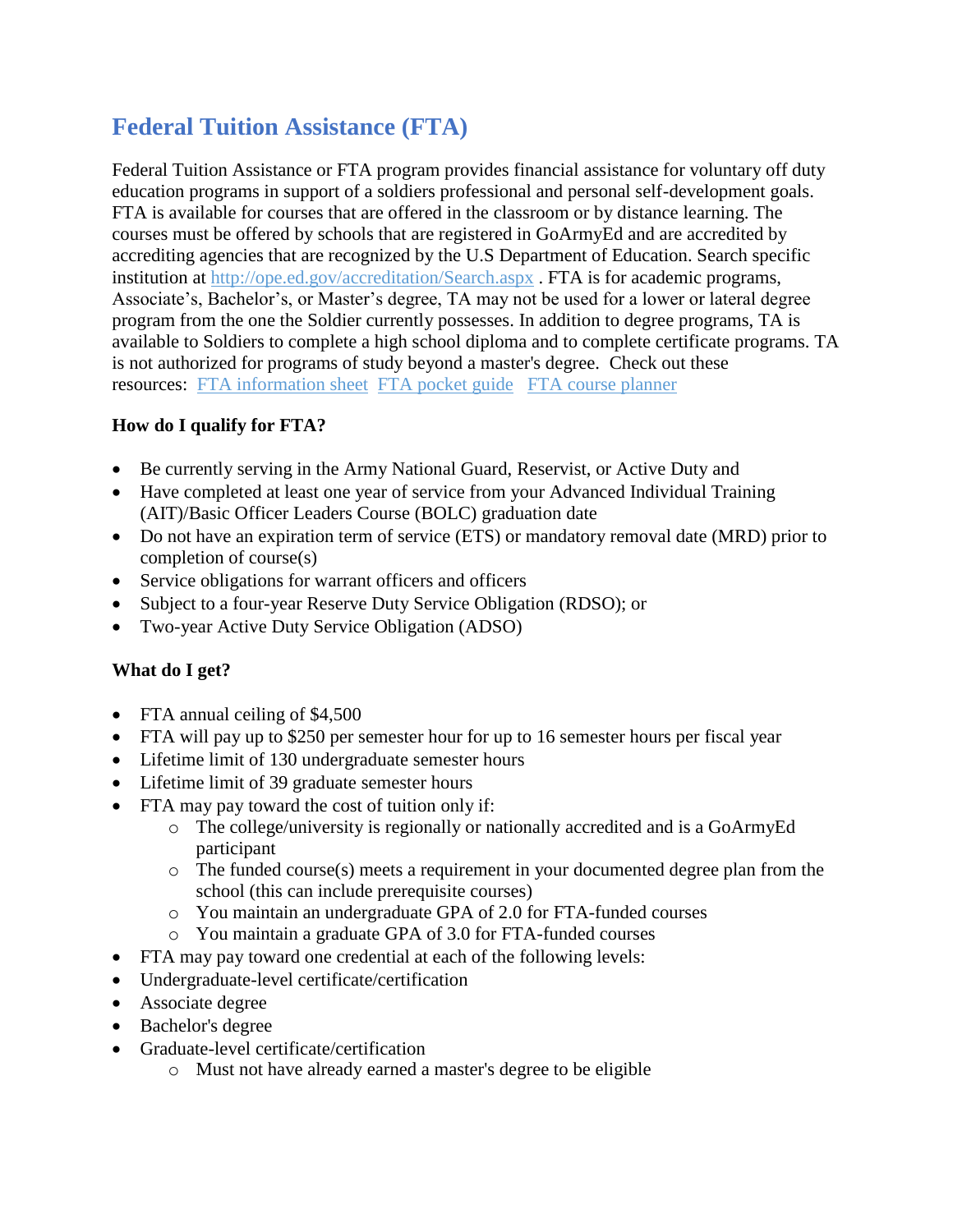# **Federal Tuition Assistance (FTA)**

Federal Tuition Assistance or FTA program provides financial assistance for voluntary off duty education programs in support of a soldiers professional and personal self-development goals. FTA is available for courses that are offered in the classroom or by distance learning. The courses must be offered by schools that are registered in GoArmyEd and are accredited by accrediting agencies that are recognized by the U.S Department of Education. Search specific institution at<http://ope.ed.gov/accreditation/Search.aspx> . FTA is for academic programs, Associate's, Bachelor's, or Master's degree, TA may not be used for a lower or lateral degree program from the one the Soldier currently possesses. In addition to degree programs, TA is available to Soldiers to complete a high school diploma and to complete certificate programs. TA is not authorized for programs of study beyond a master's degree. Check out these resources: [FTA information sheet](http://www.tri-c.edu/veterans/documents/fta-information.pdf) [FTA pocket guide](http://www.tri-c.edu/veterans/documents/fta-gae-hippocketguide-final.pdf) [FTA course planner](http://www.tri-c.edu/veterans/documents/fta-new-soldier-using-course-planner.pdf)

#### **How do I qualify for FTA?**

- Be currently serving in the Army National Guard, Reservist, or Active Duty and
- Have completed at least one year of service from your Advanced Individual Training (AIT)/Basic Officer Leaders Course (BOLC) graduation date
- Do not have an expiration term of service (ETS) or mandatory removal date (MRD) prior to completion of course(s)
- Service obligations for warrant officers and officers
- Subject to a four-year Reserve Duty Service Obligation (RDSO); or
- Two-year Active Duty Service Obligation (ADSO)

#### **What do I get?**

- FTA annual ceiling of \$4,500
- FTA will pay up to \$250 per semester hour for up to 16 semester hours per fiscal year
- Lifetime limit of 130 undergraduate semester hours
- Lifetime limit of 39 graduate semester hours
- FTA may pay toward the cost of tuition only if:
	- o The college/university is regionally or nationally accredited and is a GoArmyEd participant
	- o The funded course(s) meets a requirement in your documented degree plan from the school (this can include prerequisite courses)
	- o You maintain an undergraduate GPA of 2.0 for FTA-funded courses
	- o You maintain a graduate GPA of 3.0 for FTA-funded courses
- FTA may pay toward one credential at each of the following levels:
- Undergraduate-level certificate/certification
- Associate degree
- Bachelor's degree
- Graduate-level certificate/certification
	- o Must not have already earned a master's degree to be eligible